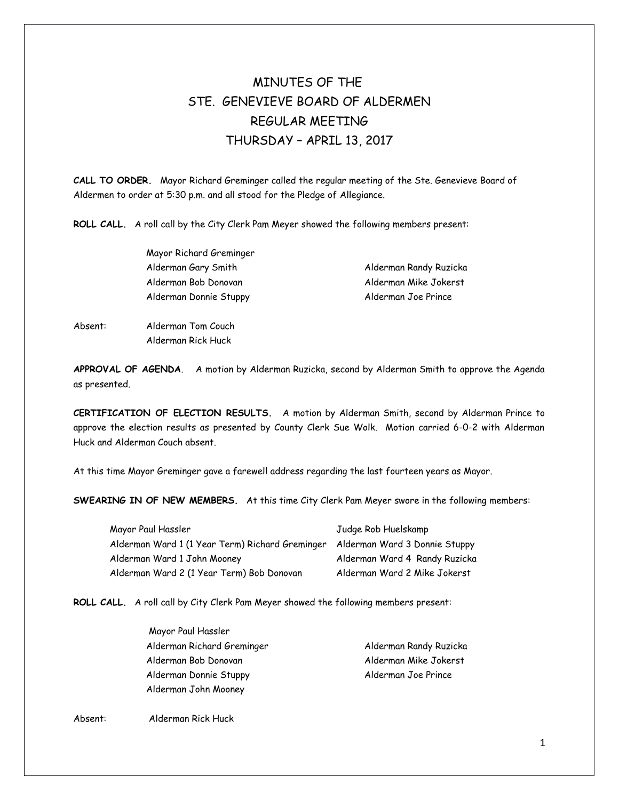# MINUTES OF THE STE. GENEVIEVE BOARD OF ALDERMEN REGULAR MEETING THURSDAY – APRIL 13, 2017

**CALL TO ORDER.** Mayor Richard Greminger called the regular meeting of the Ste. Genevieve Board of Aldermen to order at 5:30 p.m. and all stood for the Pledge of Allegiance.

**ROLL CALL.** A roll call by the City Clerk Pam Meyer showed the following members present:

Mayor Richard Greminger Alderman Gary Smith Alderman Randy Ruzicka Alderman Bob Donovan Alderman Mike Jokerst Alderman Donnie Stuppy Alderman Joe Prince

Absent: Alderman Tom Couch Alderman Rick Huck

**APPROVAL OF AGENDA**. A motion by Alderman Ruzicka, second by Alderman Smith to approve the Agenda as presented.

**CERTIFICATION OF ELECTION RESULTS.** A motion by Alderman Smith, second by Alderman Prince to approve the election results as presented by County Clerk Sue Wolk. Motion carried 6-0-2 with Alderman Huck and Alderman Couch absent.

At this time Mayor Greminger gave a farewell address regarding the last fourteen years as Mayor.

**SWEARING IN OF NEW MEMBERS.** At this time City Clerk Pam Meyer swore in the following members:

| Mayor Paul Hassler                                                            | Judge Rob Huelskamp           |
|-------------------------------------------------------------------------------|-------------------------------|
| Alderman Ward 1 (1 Year Term) Richard Greminger Alderman Ward 3 Donnie Stuppy |                               |
| Alderman Ward 1 John Mooney                                                   | Alderman Ward 4 Randy Ruzicka |
| Alderman Ward 2 (1 Year Term) Bob Donovan                                     | Alderman Ward 2 Mike Jokerst  |

**ROLL CALL.** A roll call by City Clerk Pam Meyer showed the following members present:

| Mayor Paul Hassler         |                        |
|----------------------------|------------------------|
| Alderman Richard Greminger | Alderman Randy Ruzicka |
| Alderman Bob Donovan       | Alderman Mike Jokerst  |
| Alderman Donnie Stuppy     | Alderman Joe Prince    |
| Alderman John Mooney       |                        |

Absent: Alderman Rick Huck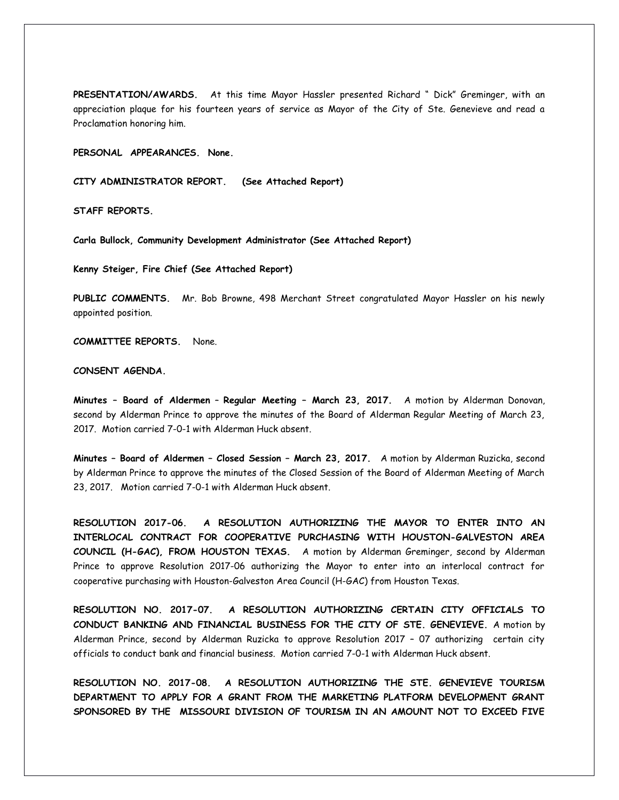**PRESENTATION/AWARDS.** At this time Mayor Hassler presented Richard " Dick" Greminger, with an appreciation plaque for his fourteen years of service as Mayor of the City of Ste. Genevieve and read a Proclamation honoring him.

**PERSONAL APPEARANCES. None.** 

**CITY ADMINISTRATOR REPORT. (See Attached Report)**

**STAFF REPORTS.** 

**Carla Bullock, Community Development Administrator (See Attached Report)** 

**Kenny Steiger, Fire Chief (See Attached Report)** 

**PUBLIC COMMENTS.** Mr. Bob Browne, 498 Merchant Street congratulated Mayor Hassler on his newly appointed position.

**COMMITTEE REPORTS.** None.

### **CONSENT AGENDA.**

**Minutes – Board of Aldermen** – **Regular Meeting – March 23, 2017.** A motion by Alderman Donovan, second by Alderman Prince to approve the minutes of the Board of Alderman Regular Meeting of March 23, 2017. Motion carried 7-0-1 with Alderman Huck absent.

**Minutes – Board of Aldermen – Closed Session – March 23, 2017.** A motion by Alderman Ruzicka, second by Alderman Prince to approve the minutes of the Closed Session of the Board of Alderman Meeting of March 23, 2017. Motion carried 7-0-1 with Alderman Huck absent.

**RESOLUTION 2017-06. A RESOLUTION AUTHORIZING THE MAYOR TO ENTER INTO AN INTERLOCAL CONTRACT FOR COOPERATIVE PURCHASING WITH HOUSTON-GALVESTON AREA COUNCIL (H-GAC), FROM HOUSTON TEXAS.** A motion by Alderman Greminger, second by Alderman Prince to approve Resolution 2017-06 authorizing the Mayor to enter into an interlocal contract for cooperative purchasing with Houston-Galveston Area Council (H-GAC) from Houston Texas.

**RESOLUTION NO. 2017-07. A RESOLUTION AUTHORIZING CERTAIN CITY OFFICIALS TO CONDUCT BANKING AND FINANCIAL BUSINESS FOR THE CITY OF STE. GENEVIEVE.** A motion by Alderman Prince, second by Alderman Ruzicka to approve Resolution 2017 – 07 authorizing certain city officials to conduct bank and financial business. Motion carried 7-0-1 with Alderman Huck absent.

**RESOLUTION NO. 2017-08. A RESOLUTION AUTHORIZING THE STE. GENEVIEVE TOURISM DEPARTMENT TO APPLY FOR A GRANT FROM THE MARKETING PLATFORM DEVELOPMENT GRANT SPONSORED BY THE MISSOURI DIVISION OF TOURISM IN AN AMOUNT NOT TO EXCEED FIVE**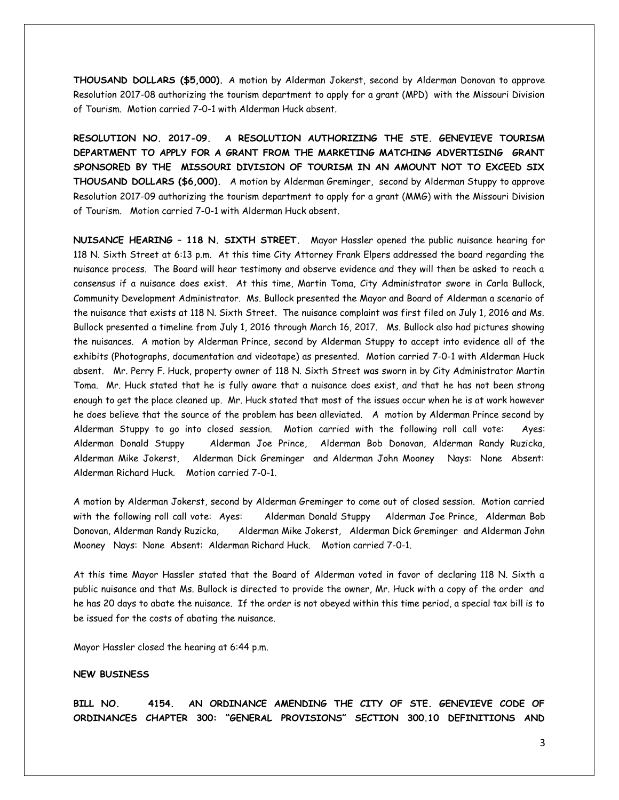**THOUSAND DOLLARS (\$5,000).** A motion by Alderman Jokerst, second by Alderman Donovan to approve Resolution 2017-08 authorizing the tourism department to apply for a grant (MPD) with the Missouri Division of Tourism. Motion carried 7-0-1 with Alderman Huck absent.

**RESOLUTION NO. 2017-09. A RESOLUTION AUTHORIZING THE STE. GENEVIEVE TOURISM DEPARTMENT TO APPLY FOR A GRANT FROM THE MARKETING MATCHING ADVERTISING GRANT SPONSORED BY THE MISSOURI DIVISION OF TOURISM IN AN AMOUNT NOT TO EXCEED SIX THOUSAND DOLLARS (\$6,000).** A motion by Alderman Greminger, second by Alderman Stuppy to approve Resolution 2017-09 authorizing the tourism department to apply for a grant (MMG) with the Missouri Division of Tourism. Motion carried 7-0-1 with Alderman Huck absent.

**NUISANCE HEARING – 118 N. SIXTH STREET.** Mayor Hassler opened the public nuisance hearing for 118 N. Sixth Street at 6:13 p.m. At this time City Attorney Frank Elpers addressed the board regarding the nuisance process. The Board will hear testimony and observe evidence and they will then be asked to reach a consensus if a nuisance does exist. At this time, Martin Toma, City Administrator swore in Carla Bullock, Community Development Administrator. Ms. Bullock presented the Mayor and Board of Alderman a scenario of the nuisance that exists at 118 N. Sixth Street. The nuisance complaint was first filed on July 1, 2016 and Ms. Bullock presented a timeline from July 1, 2016 through March 16, 2017. Ms. Bullock also had pictures showing the nuisances. A motion by Alderman Prince, second by Alderman Stuppy to accept into evidence all of the exhibits (Photographs, documentation and videotape) as presented. Motion carried 7-0-1 with Alderman Huck absent. Mr. Perry F. Huck, property owner of 118 N. Sixth Street was sworn in by City Administrator Martin Toma. Mr. Huck stated that he is fully aware that a nuisance does exist, and that he has not been strong enough to get the place cleaned up. Mr. Huck stated that most of the issues occur when he is at work however he does believe that the source of the problem has been alleviated. A motion by Alderman Prince second by Alderman Stuppy to go into closed session. Motion carried with the following roll call vote: Ayes: Alderman Donald Stuppy Alderman Joe Prince, Alderman Bob Donovan, Alderman Randy Ruzicka, Alderman Mike Jokerst, Alderman Dick Greminger and Alderman John Mooney Nays: None Absent: Alderman Richard Huck. Motion carried 7-0-1.

A motion by Alderman Jokerst, second by Alderman Greminger to come out of closed session. Motion carried with the following roll call vote: Ayes: Alderman Donald Stuppy Alderman Joe Prince, Alderman Bob Donovan, Alderman Randy Ruzicka, Alderman Mike Jokerst, Alderman Dick Greminger and Alderman John Mooney Nays: None Absent: Alderman Richard Huck. Motion carried 7-0-1.

At this time Mayor Hassler stated that the Board of Alderman voted in favor of declaring 118 N. Sixth a public nuisance and that Ms. Bullock is directed to provide the owner, Mr. Huck with a copy of the order and he has 20 days to abate the nuisance. If the order is not obeyed within this time period, a special tax bill is to be issued for the costs of abating the nuisance.

Mayor Hassler closed the hearing at 6:44 p.m.

### **NEW BUSINESS**

**BILL NO. 4154. AN ORDINANCE AMENDING THE CITY OF STE. GENEVIEVE CODE OF ORDINANCES CHAPTER 300: "GENERAL PROVISIONS" SECTION 300.10 DEFINITIONS AND**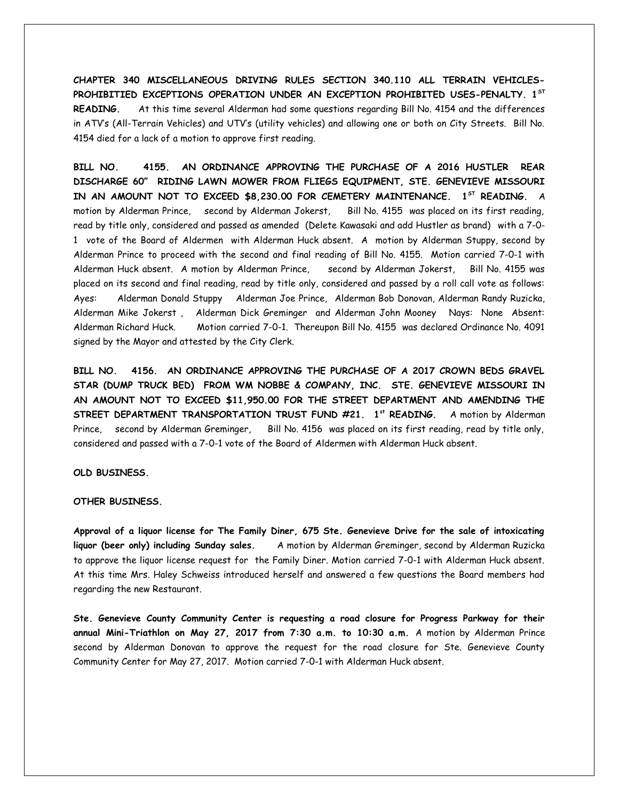**CHAPTER 340 MISCELLANEOUS DRIVING RULES SECTION 340.110 ALL TERRAIN VEHICLES-PROHIBITIED EXCEPTIONS OPERATION UNDER AN EXCEPTION PROHIBITED USES-PENALTY. 1ST READING.** At this time several Alderman had some questions regarding Bill No. 4154 and the differences in ATV's (All-Terrain Vehicles) and UTV's (utility vehicles) and allowing one or both on City Streets. Bill No. 4154 died for a lack of a motion to approve first reading.

**BILL NO. 4155. AN ORDINANCE APPROVING THE PURCHASE OF A 2016 HUSTLER REAR DISCHARGE 60" RIDING LAWN MOWER FROM FLIEGS EQUIPMENT, STE. GENEVIEVE MISSOURI IN AN AMOUNT NOT TO EXCEED \$8,230.00 FOR CEMETERY MAINTENANCE. 1ST READING.** A motion by Alderman Prince, second by Alderman Jokerst, Bill No. 4155 was placed on its first reading, read by title only, considered and passed as amended (Delete Kawasaki and add Hustler as brand) with a 7-0- 1 vote of the Board of Aldermen with Alderman Huck absent. A motion by Alderman Stuppy, second by Alderman Prince to proceed with the second and final reading of Bill No. 4155. Motion carried 7-0-1 with Alderman Huck absent. A motion by Alderman Prince, second by Alderman Jokerst, Bill No. 4155 was placed on its second and final reading, read by title only, considered and passed by a roll call vote as follows: Ayes: Alderman Donald Stuppy Alderman Joe Prince, Alderman Bob Donovan, Alderman Randy Ruzicka, Alderman Mike Jokerst , Alderman Dick Greminger and Alderman John Mooney Nays: None Absent: Alderman Richard Huck. Motion carried 7-0-1. Thereupon Bill No. 4155 was declared Ordinance No. 4091 signed by the Mayor and attested by the City Clerk.

**BILL NO. 4156. AN ORDINANCE APPROVING THE PURCHASE OF A 2017 CROWN BEDS GRAVEL STAR (DUMP TRUCK BED) FROM WM NOBBE & COMPANY, INC. STE. GENEVIEVE MISSOURI IN AN AMOUNT NOT TO EXCEED \$11,950.00 FOR THE STREET DEPARTMENT AND AMENDING THE STREET DEPARTMENT TRANSPORTATION TRUST FUND #21. 1st READING.** A motion by Alderman Prince, second by Alderman Greminger, Bill No. 4156 was placed on its first reading, read by title only, considered and passed with a 7-0-1 vote of the Board of Aldermen with Alderman Huck absent.

## **OLD BUSINESS.**

#### **OTHER BUSINESS.**

**Approval of a liquor license for The Family Diner, 675 Ste. Genevieve Drive for the sale of intoxicating liquor (beer only) including Sunday sales.** A motion by Alderman Greminger, second by Alderman Ruzicka to approve the liquor license request for the Family Diner. Motion carried 7-0-1 with Alderman Huck absent. At this time Mrs. Haley Schweiss introduced herself and answered a few questions the Board members had regarding the new Restaurant.

**Ste. Genevieve County Community Center is requesting a road closure for Progress Parkway for their annual Mini-Triathlon on May 27, 2017 from 7:30 a.m. to 10:30 a.m.** A motion by Alderman Prince second by Alderman Donovan to approve the request for the road closure for Ste. Genevieve County Community Center for May 27, 2017. Motion carried 7-0-1 with Alderman Huck absent.